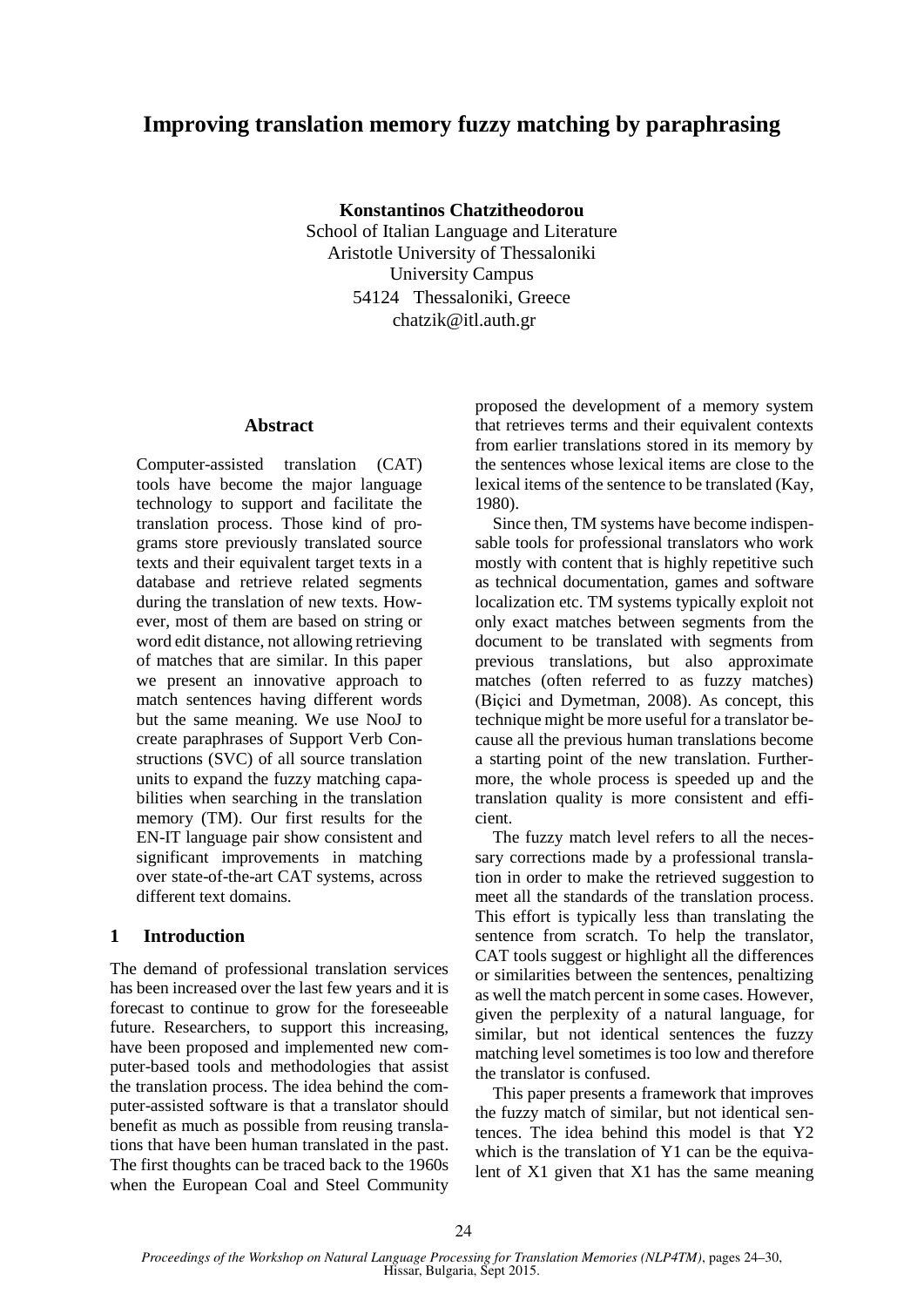# **Improving translation memory fuzzy matching by paraphrasing**

**Konstantinos Chatzitheodorou**

School of Italian Language and Literature Aristotle University of Thessaloniki University Campus 54124 Thessaloniki, Greece chatzik@itl.auth.gr

### **Abstract**

Computer-assisted translation (CAT) tools have become the major language technology to support and facilitate the translation process. Those kind of programs store previously translated source texts and their equivalent target texts in a database and retrieve related segments during the translation of new texts. However, most of them are based on string or word edit distance, not allowing retrieving of matches that are similar. In this paper we present an innovative approach to match sentences having different words but the same meaning. We use NooJ to create paraphrases of Support Verb Constructions (SVC) of all source translation units to expand the fuzzy matching capabilities when searching in the translation memory (TM). Our first results for the EN-IT language pair show consistent and significant improvements in matching over state-of-the-art CAT systems, across different text domains.

# **1 Introduction**

The demand of professional translation services has been increased over the last few years and it is forecast to continue to grow for the foreseeable future. Researchers, to support this increasing, have been proposed and implemented new computer-based tools and methodologies that assist the translation process. The idea behind the computer-assisted software is that a translator should benefit as much as possible from reusing translations that have been human translated in the past. The first thoughts can be traced back to the 1960s when the European Coal and Steel Community

proposed the development of a memory system that retrieves terms and their equivalent contexts from earlier translations stored in its memory by the sentences whose lexical items are close to the lexical items of the sentence to be translated (Kay, 1980).

Since then, TM systems have become indispensable tools for professional translators who work mostly with content that is highly repetitive such as technical documentation, games and software localization etc. TM systems typically exploit not only exact matches between segments from the document to be translated with segments from previous translations, but also approximate matches (often referred to as fuzzy matches) (Biçici and Dymetman, 2008). As concept, this technique might be more useful for a translator because all the previous human translations become a starting point of the new translation. Furthermore, the whole process is speeded up and the translation quality is more consistent and efficient.

The fuzzy match level refers to all the necessary corrections made by a professional translation in order to make the retrieved suggestion to meet all the standards of the translation process. This effort is typically less than translating the sentence from scratch. To help the translator, CAT tools suggest or highlight all the differences or similarities between the sentences, penaltizing as well the match percent in some cases. However, given the perplexity of a natural language, for similar, but not identical sentences the fuzzy matching level sometimes is too low and therefore the translator is confused.

This paper presents a framework that improves the fuzzy match of similar, but not identical sentences. The idea behind this model is that Y2 which is the translation of Y1 can be the equivalent of X1 given that X1 has the same meaning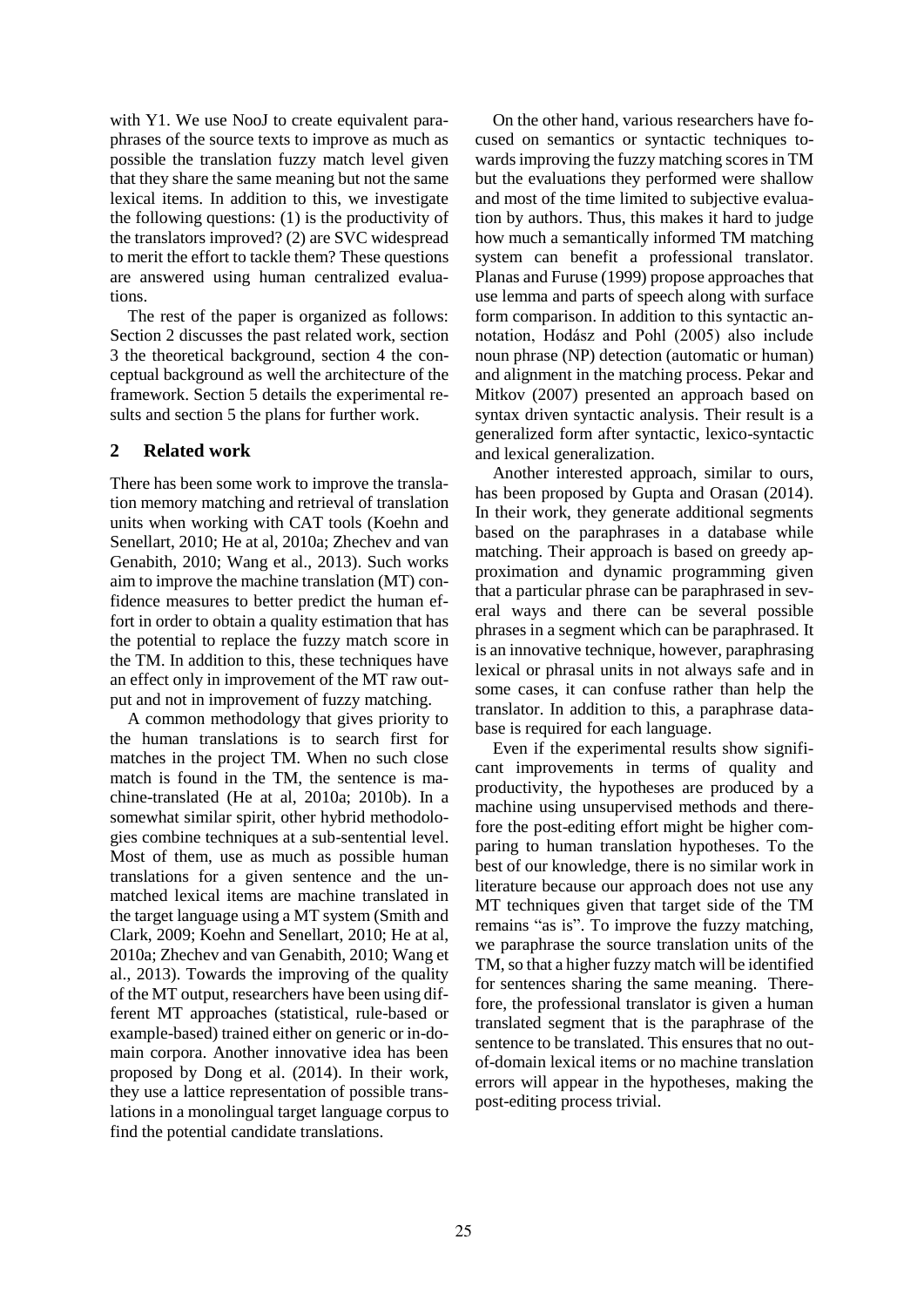with Y1. We use NooJ to create equivalent paraphrases of the source texts to improve as much as possible the translation fuzzy match level given that they share the same meaning but not the same lexical items. In addition to this, we investigate the following questions: (1) is the productivity of the translators improved? (2) are SVC widespread to merit the effort to tackle them? These questions are answered using human centralized evaluations.

The rest of the paper is organized as follows: Section 2 discusses the past related work, section 3 the theoretical background, section 4 the conceptual background as well the architecture of the framework. Section 5 details the experimental results and section 5 the plans for further work.

# **2 Related work**

There has been some work to improve the translation memory matching and retrieval of translation units when working with CAT tools (Koehn and Senellart, 2010; He at al, 2010a; Zhechev and van Genabith, 2010; Wang et al., 2013). Such works aim to improve the machine translation (MT) confidence measures to better predict the human effort in order to obtain a quality estimation that has the potential to replace the fuzzy match score in the TM. In addition to this, these techniques have an effect only in improvement of the MT raw output and not in improvement of fuzzy matching.

A common methodology that gives priority to the human translations is to search first for matches in the project TM. When no such close match is found in the TM, the sentence is machine-translated (He at al, 2010a; 2010b). In a somewhat similar spirit, other hybrid methodologies combine techniques at a sub-sentential level. Most of them, use as much as possible human translations for a given sentence and the unmatched lexical items are machine translated in the target language using a MT system (Smith and Clark, 2009; Koehn and Senellart, 2010; He at al, 2010a; Zhechev and van Genabith, 2010; Wang et al., 2013). Towards the improving of the quality of the MT output, researchers have been using different MT approaches (statistical, rule-based or example-based) trained either on generic or in-domain corpora. Another innovative idea has been proposed by Dong et al. (2014). In their work, they use a lattice representation of possible translations in a monolingual target language corpus to find the potential candidate translations.

On the other hand, various researchers have focused on semantics or syntactic techniques towards improving the fuzzy matching scores in TM but the evaluations they performed were shallow and most of the time limited to subjective evaluation by authors. Thus, this makes it hard to judge how much a semantically informed TM matching system can benefit a professional translator. Planas and Furuse (1999) propose approaches that use lemma and parts of speech along with surface form comparison. In addition to this syntactic annotation, Hodász and Pohl (2005) also include noun phrase (NP) detection (automatic or human) and alignment in the matching process. Pekar and Mitkov (2007) presented an approach based on syntax driven syntactic analysis. Their result is a generalized form after syntactic, lexico-syntactic and lexical generalization.

Another interested approach, similar to ours, has been proposed by Gupta and Orasan (2014). In their work, they generate additional segments based on the paraphrases in a database while matching. Their approach is based on greedy approximation and dynamic programming given that a particular phrase can be paraphrased in several ways and there can be several possible phrases in a segment which can be paraphrased. It is an innovative technique, however, paraphrasing lexical or phrasal units in not always safe and in some cases, it can confuse rather than help the translator. In addition to this, a paraphrase database is required for each language.

Even if the experimental results show significant improvements in terms of quality and productivity, the hypotheses are produced by a machine using unsupervised methods and therefore the post-editing effort might be higher comparing to human translation hypotheses. To the best of our knowledge, there is no similar work in literature because our approach does not use any MT techniques given that target side of the TM remains "as is". To improve the fuzzy matching, we paraphrase the source translation units of the TM, so that a higher fuzzy match will be identified for sentences sharing the same meaning. Therefore, the professional translator is given a human translated segment that is the paraphrase of the sentence to be translated. This ensures that no outof-domain lexical items or no machine translation errors will appear in the hypotheses, making the post-editing process trivial.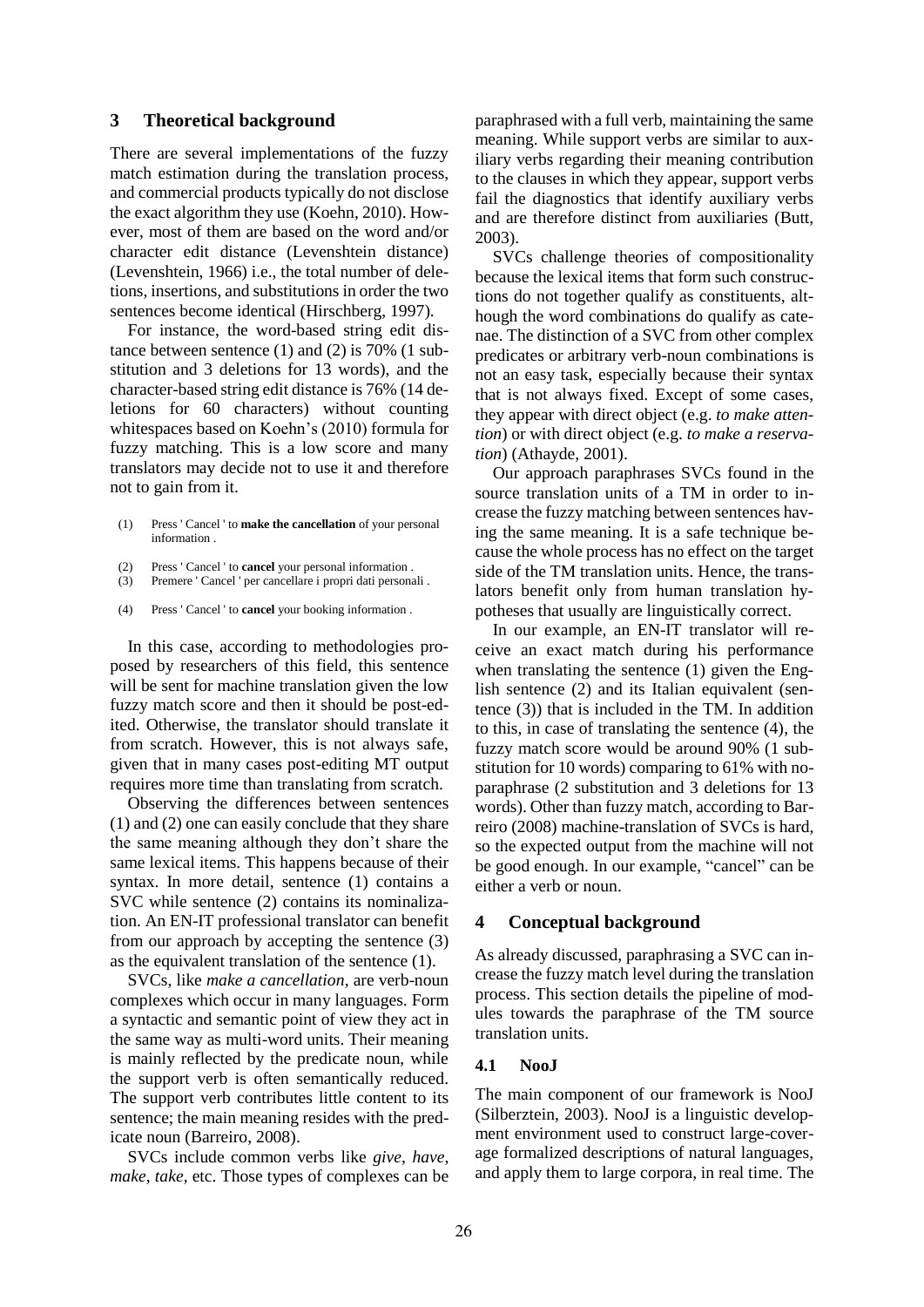#### **3 Theoretical background**

There are several implementations of the fuzzy match estimation during the translation process, and commercial products typically do not disclose the exact algorithm they use (Koehn, 2010). However, most of them are based on the word and/or character edit distance (Levenshtein distance) (Levenshtein, 1966) i.e., the total number of deletions, insertions, and substitutions in order the two sentences become identical (Hirschberg, 1997).

For instance, the word-based string edit distance between sentence (1) and (2) is 70% (1 substitution and 3 deletions for 13 words), and the character-based string edit distance is 76% (14 deletions for 60 characters) without counting whitespaces based on Koehn's (2010) formula for fuzzy matching. This is a low score and many translators may decide not to use it and therefore not to gain from it.

- (1) Press ' Cancel ' to **make the cancellation** of your personal information .
- (2) Press ' Cancel ' to **cancel** your personal information .
- (3) Premere ' Cancel ' per cancellare i propri dati personali .
- $(4)$ Press ' Cancel ' to **cancel** your booking information .

In this case, according to methodologies proposed by researchers of this field, this sentence will be sent for machine translation given the low fuzzy match score and then it should be post-edited. Otherwise, the translator should translate it from scratch. However, this is not always safe, given that in many cases post-editing MT output requires more time than translating from scratch.

Observing the differences between sentences (1) and (2) one can easily conclude that they share the same meaning although they don't share the same lexical items. This happens because of their syntax. In more detail, sentence (1) contains a SVC while sentence (2) contains its nominalization. An EN-IT professional translator can benefit from our approach by accepting the sentence (3) as the equivalent translation of the sentence (1).

SVCs, like *make a cancellation*, are verb-noun complexes which occur in many languages. Form a syntactic and semantic point of view they act in the same way as multi-word units. Their meaning is mainly reflected by the predicate noun, while the support verb is often semantically reduced. The support verb contributes little content to its sentence; the main meaning resides with the predicate noun (Barreiro, 2008).

SVCs include common verbs like *give*, *have*, *make*, *take*, etc. Those types of complexes can be paraphrased with a full verb, maintaining the same meaning. While support verbs are similar to auxiliary verbs regarding their meaning contribution to the clauses in which they appear, support verbs fail the diagnostics that identify auxiliary verbs and are therefore distinct from auxiliaries (Butt, 2003).

SVCs challenge theories of compositionality because the lexical items that form such constructions do not together qualify as constituents, although the word combinations do qualify as catenae. The distinction of a SVC from other complex predicates or arbitrary verb-noun combinations is not an easy task, especially because their syntax that is not always fixed. Except of some cases, they appear with direct object (e.g. *to make attention*) or with direct object (e.g. *to make a reservation*) (Athayde, 2001).

Our approach paraphrases SVCs found in the source translation units of a TM in order to increase the fuzzy matching between sentences having the same meaning. It is a safe technique because the whole process has no effect on the target side of the TM translation units. Hence, the translators benefit only from human translation hypotheses that usually are linguistically correct.

In our example, an EN-IT translator will receive an exact match during his performance when translating the sentence (1) given the English sentence (2) and its Italian equivalent (sentence (3)) that is included in the TM. In addition to this, in case of translating the sentence (4), the fuzzy match score would be around 90% (1 substitution for 10 words) comparing to 61% with noparaphrase (2 substitution and 3 deletions for 13 words). Other than fuzzy match, according to Barreiro (2008) machine-translation of SVCs is hard, so the expected output from the machine will not be good enough. In our example, "cancel" can be either a verb or noun.

# **4 Conceptual background**

As already discussed, paraphrasing a SVC can increase the fuzzy match level during the translation process. This section details the pipeline of modules towards the paraphrase of the TM source translation units.

#### **4.1 NooJ**

The main component of our framework is NooJ (Silberztein, 2003). NooJ is a linguistic development environment used to construct large-coverage formalized descriptions of natural languages, and apply them to large corpora, in real time. The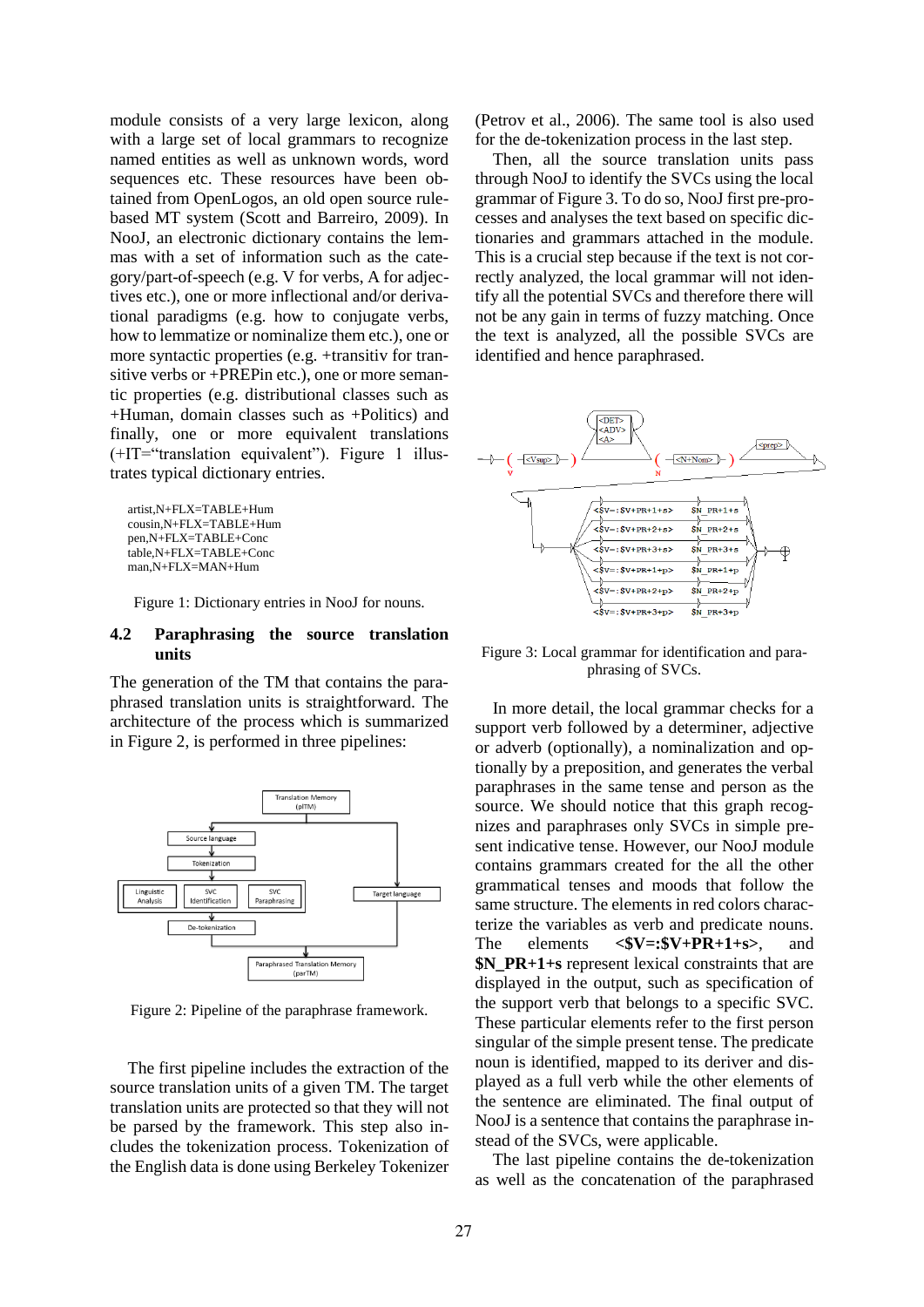module consists of a very large lexicon, along with a large set of local grammars to recognize named entities as well as unknown words, word sequences etc. These resources have been obtained from OpenLogos, an old open source rulebased MT system (Scott and Barreiro, 2009). In NooJ, an electronic dictionary contains the lemmas with a set of information such as the category/part-of-speech (e.g. V for verbs, A for adjectives etc.), one or more inflectional and/or derivational paradigms (e.g. how to conjugate verbs, how to lemmatize or nominalize them etc.), one or more syntactic properties (e.g. +transitiv for transitive verbs or +PREPin etc.), one or more semantic properties (e.g. distributional classes such as +Human, domain classes such as +Politics) and finally, one or more equivalent translations (+IT="translation equivalent"). Figure 1 illustrates typical dictionary entries.

```
artist,N+FLX=TABLE+Hum
cousin,N+FLX=TABLE+Hum
pen,N+FLX=TABLE+Conc
table,N+FLX=TABLE+Conc
man,N+FLX=MAN+Hum
```
Figure 1: Dictionary entries in NooJ for nouns.

# **4.2 Paraphrasing the source translation units**

The generation of the TM that contains the paraphrased translation units is straightforward. The architecture of the process which is summarized in Figure 2, is performed in three pipelines:



Figure 2: Pipeline of the paraphrase framework.

The first pipeline includes the extraction of the source translation units of a given TM. The target translation units are protected so that they will not be parsed by the framework. This step also includes the tokenization process. Tokenization of the English data is done using Berkeley Tokenizer

(Petrov et al., 2006). The same tool is also used for the de-tokenization process in the last step.

Then, all the source translation units pass through NooJ to identify the SVCs using the local grammar of Figure 3. To do so, NooJ first pre-processes and analyses the text based on specific dictionaries and grammars attached in the module. This is a crucial step because if the text is not correctly analyzed, the local grammar will not identify all the potential SVCs and therefore there will not be any gain in terms of fuzzy matching. Once the text is analyzed, all the possible SVCs are identified and hence paraphrased.



Figure 3: Local grammar for identification and paraphrasing of SVCs.

In more detail, the local grammar checks for a support verb followed by a determiner, adjective or adverb (optionally), a nominalization and optionally by a preposition, and generates the verbal paraphrases in the same tense and person as the source. We should notice that this graph recognizes and paraphrases only SVCs in simple present indicative tense. However, our NooJ module contains grammars created for the all the other grammatical tenses and moods that follow the same structure. The elements in red colors characterize the variables as verb and predicate nouns. The elements **<\$V=:\$V+PR+1+s>**, and **\$N\_PR+1+s** represent lexical constraints that are displayed in the output, such as specification of the support verb that belongs to a specific SVC. These particular elements refer to the first person singular of the simple present tense. The predicate noun is identified, mapped to its deriver and displayed as a full verb while the other elements of the sentence are eliminated. The final output of NooJ is a sentence that contains the paraphrase instead of the SVCs, were applicable.

The last pipeline contains the de-tokenization as well as the concatenation of the paraphrased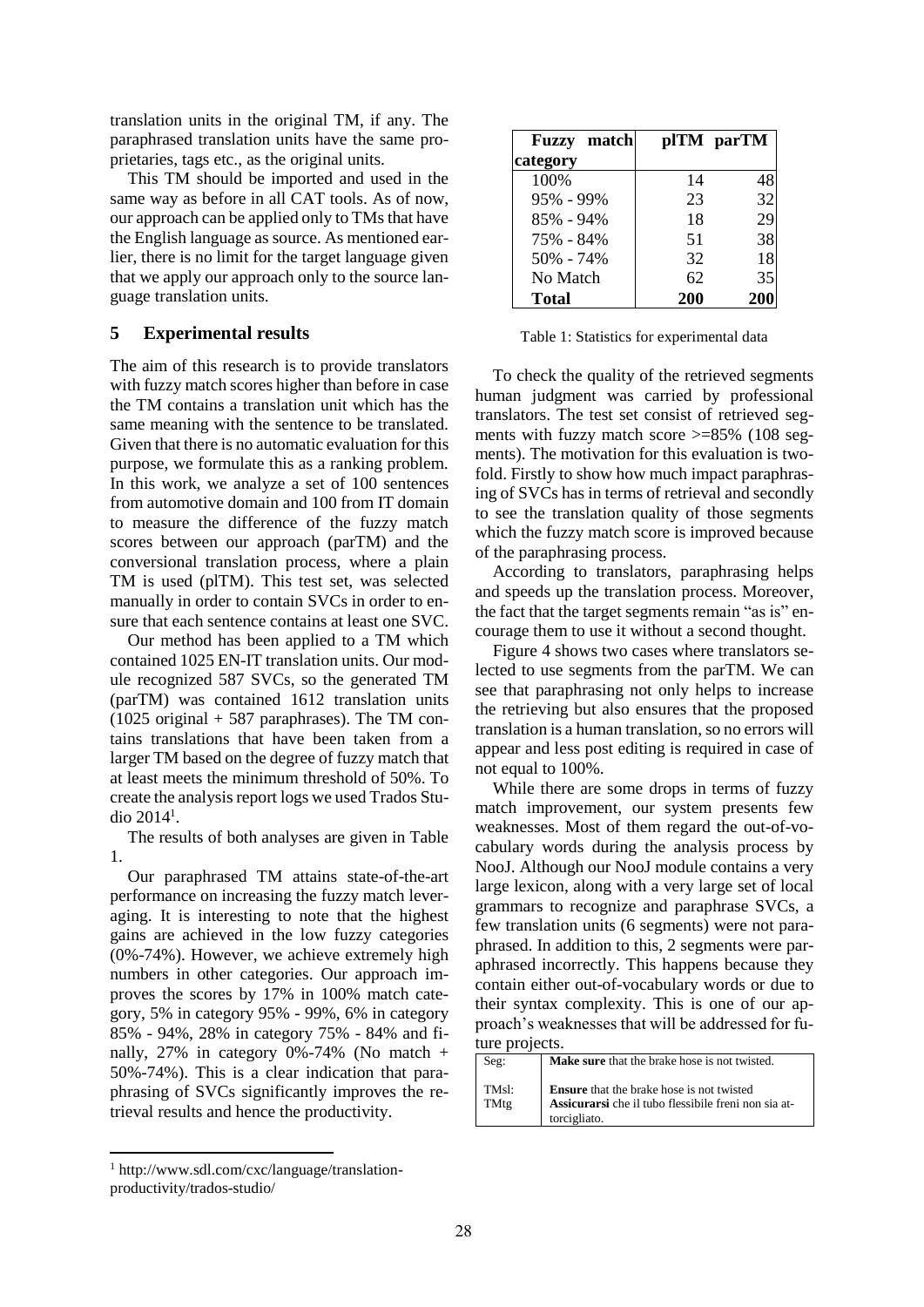translation units in the original TM, if any. The paraphrased translation units have the same proprietaries, tags etc., as the original units.

This TM should be imported and used in the same way as before in all CAT tools. As of now, our approach can be applied only to TMs that have the English language as source. As mentioned earlier, there is no limit for the target language given that we apply our approach only to the source language translation units.

## **5 Experimental results**

The aim of this research is to provide translators with fuzzy match scores higher than before in case the TM contains a translation unit which has the same meaning with the sentence to be translated. Given that there is no automatic evaluation for this purpose, we formulate this as a ranking problem. In this work, we analyze a set of 100 sentences from automotive domain and 100 from IT domain to measure the difference of the fuzzy match scores between our approach (parTM) and the conversional translation process, where a plain TM is used (plTM). This test set, was selected manually in order to contain SVCs in order to ensure that each sentence contains at least one SVC.

Our method has been applied to a TM which contained 1025 EN-IT translation units. Our module recognized 587 SVCs, so the generated TM (parTM) was contained 1612 translation units  $(1025 \text{ original} + 587 \text{ paraphrases})$ . The TM contains translations that have been taken from a larger TM based on the degree of fuzzy match that at least meets the minimum threshold of 50%. To create the analysis report logs we used Trados Studio  $2014<sup>1</sup>$ .

The results of both analyses are given in Table 1.

Our paraphrased TM attains state-of-the-art performance on increasing the fuzzy match leveraging. It is interesting to note that the highest gains are achieved in the low fuzzy categories (0%-74%). However, we achieve extremely high numbers in other categories. Our approach improves the scores by 17% in 100% match category, 5% in category 95% - 99%, 6% in category 85% - 94%, 28% in category 75% - 84% and finally,  $27\%$  in category 0%-74% (No match + 50%-74%). This is a clear indication that paraphrasing of SVCs significantly improves the retrieval results and hence the productivity.

| <b>Fuzzy</b> match |            | plTM parTM |
|--------------------|------------|------------|
| category           |            |            |
| 100%               | 14         | 48         |
| 95% - 99%          | 23         | 32         |
| 85% - 94%          | 18         | 29         |
| 75% - 84%          | 51         | 38         |
| 50% - 74%          | 32         | 18         |
| No Match           | 62         | 35         |
| <b>Total</b>       | <b>200</b> | 20         |

Table 1: Statistics for experimental data

To check the quality of the retrieved segments human judgment was carried by professional translators. The test set consist of retrieved segments with fuzzy match score  $\geq$ =85% (108 segments). The motivation for this evaluation is twofold. Firstly to show how much impact paraphrasing of SVCs has in terms of retrieval and secondly to see the translation quality of those segments which the fuzzy match score is improved because of the paraphrasing process.

According to translators, paraphrasing helps and speeds up the translation process. Moreover, the fact that the target segments remain "as is" encourage them to use it without a second thought.

Figure 4 shows two cases where translators selected to use segments from the parTM. We can see that paraphrasing not only helps to increase the retrieving but also ensures that the proposed translation is a human translation, so no errors will appear and less post editing is required in case of not equal to 100%.

While there are some drops in terms of fuzzy match improvement, our system presents few weaknesses. Most of them regard the out-of-vocabulary words during the analysis process by NooJ. Although our NooJ module contains a very large lexicon, along with a very large set of local grammars to recognize and paraphrase SVCs, a few translation units (6 segments) were not paraphrased. In addition to this, 2 segments were paraphrased incorrectly. This happens because they contain either out-of-vocabulary words or due to their syntax complexity. This is one of our approach's weaknesses that will be addressed for future projects.

| Seg:  | Make sure that the brake hose is not twisted.                                                                   |
|-------|-----------------------------------------------------------------------------------------------------------------|
| TMsl: | <b>Ensure</b> that the brake hose is not twisted<br><b>Assicurarsi</b> che il tubo flessibile freni non sia at- |
| TMtg  | torcigliato.                                                                                                    |

<sup>1</sup> http://www.sdl.com/cxc/language/translationproductivity/trados-studio/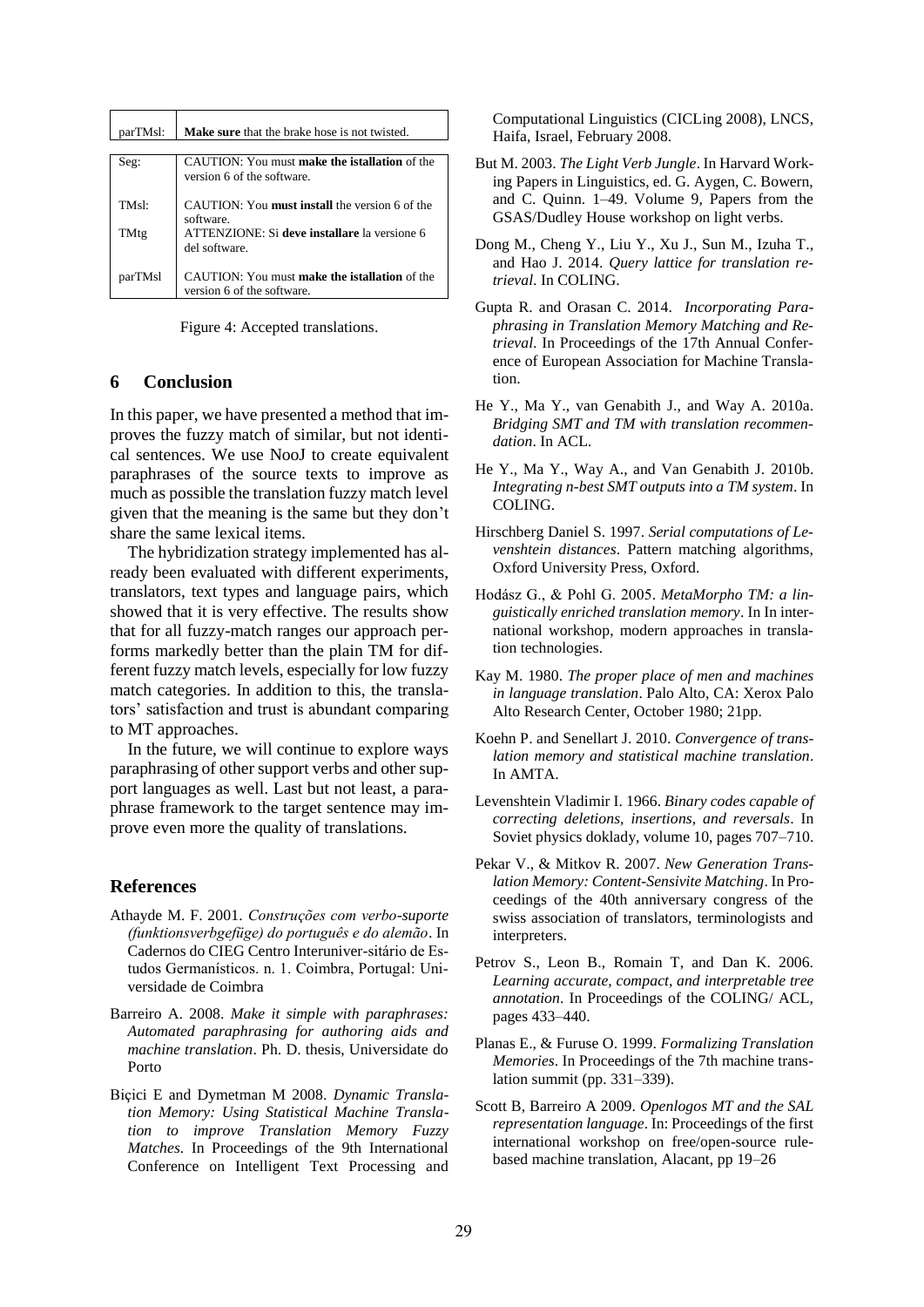| parTMsl: | <b>Make sure</b> that the brake hose is not twisted.                               |
|----------|------------------------------------------------------------------------------------|
|          |                                                                                    |
| Seg:     | CAUTION: You must make the istallation of the<br>version 6 of the software.        |
| TMs!     | CAUTION: You <b>must install</b> the version 6 of the<br>software.                 |
| TMtg     | ATTENZIONE: Si deve installare la versione 6<br>del software.                      |
| parTMsl  | CAUTION: You must <b>make the istallation</b> of the<br>version 6 of the software. |

Figure 4: Accepted translations.

## **6 Conclusion**

In this paper, we have presented a method that improves the fuzzy match of similar, but not identical sentences. We use NooJ to create equivalent paraphrases of the source texts to improve as much as possible the translation fuzzy match level given that the meaning is the same but they don't share the same lexical items.

The hybridization strategy implemented has already been evaluated with different experiments, translators, text types and language pairs, which showed that it is very effective. The results show that for all fuzzy-match ranges our approach performs markedly better than the plain TM for different fuzzy match levels, especially for low fuzzy match categories. In addition to this, the translators' satisfaction and trust is abundant comparing to MT approaches.

In the future, we will continue to explore ways paraphrasing of other support verbs and other support languages as well. Last but not least, a paraphrase framework to the target sentence may improve even more the quality of translations.

#### **References**

- Athayde M. F. 2001. *Construções com verbo-suporte (funktionsverbgefüge) do português e do alemão*. In Cadernos do CIEG Centro Interuniver-sitário de Estudos Germanísticos. n. 1. Coimbra, Portugal: Universidade de Coimbra
- Barreiro A. 2008. *Make it simple with paraphrases: Automated paraphrasing for authoring aids and machine translation*. Ph. D. thesis, Universidate do Porto
- Biçici E and Dymetman M 2008. *Dynamic Translation Memory: Using Statistical Machine Translation to improve Translation Memory Fuzzy Matches*. In Proceedings of the 9th International Conference on Intelligent Text Processing and

Computational Linguistics (CICLing 2008), LNCS, Haifa, Israel, February 2008.

- But M. 2003. *The Light Verb Jungle*. In Harvard Working Papers in Linguistics, ed. G. Aygen, C. Bowern, and C. Quinn. 1–49. Volume 9, Papers from the GSAS/Dudley House workshop on light verbs.
- Dong M., Cheng Y., Liu Y., Xu J., Sun M., Izuha T., and Hao J. 2014. *Query lattice for translation retrieval*. In COLING.
- Gupta R. and Orasan C. 2014. *Incorporating Paraphrasing in Translation Memory Matching and Retrieval*. In Proceedings of the 17th Annual Conference of European Association for Machine Translation.
- He Y., Ma Y., van Genabith J., and Way A. 2010a. *Bridging SMT and TM with translation recommendation*. In ACL.
- He Y., Ma Y., Way A., and Van Genabith J. 2010b. *Integrating n-best SMT outputs into a TM system*. In COLING.
- Hirschberg Daniel S. 1997. *Serial computations of Levenshtein distances*. Pattern matching algorithms, Oxford University Press, Oxford.
- Hodász G., & Pohl G. 2005. *MetaMorpho TM: a linguistically enriched translation memory*. In In international workshop, modern approaches in translation technologies.
- Kay M. 1980. *The proper place of men and machines in language translation*. Palo Alto, CA: Xerox Palo Alto Research Center, October 1980; 21pp.
- Koehn P. and Senellart J. 2010. *Convergence of translation memory and statistical machine translation*. In AMTA.
- Levenshtein Vladimir I. 1966. *Binary codes capable of correcting deletions, insertions, and reversals*. In Soviet physics doklady, volume 10, pages 707–710.
- Pekar V., & Mitkov R. 2007. *New Generation Translation Memory: Content-Sensivite Matching*. In Proceedings of the 40th anniversary congress of the swiss association of translators, terminologists and interpreters.
- Petrov S., Leon B., Romain T, and Dan K. 2006. *Learning accurate, compact, and interpretable tree annotation*. In Proceedings of the COLING/ ACL, pages 433–440.
- Planas E., & Furuse O. 1999. *Formalizing Translation Memories*. In Proceedings of the 7th machine translation summit (pp. 331–339).
- Scott B, Barreiro A 2009. *Openlogos MT and the SAL representation language*. In: Proceedings of the first international workshop on free/open-source rulebased machine translation, Alacant, pp 19–26